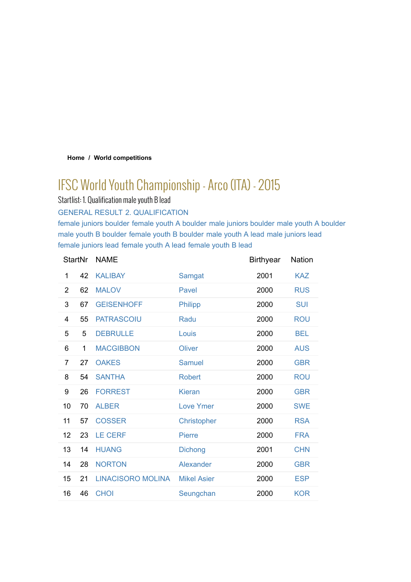### **Home / World competitions**

# IFSC World Youth Championship - Arco (ITA) - 2015

Startlist: 1. Qualification male youth B lead

GENERAL RESULT 2. QUALIFICATION

female juniors boulder female youth A boulder male juniors boulder male youth A boulder male youth B boulder female youth B boulder male youth A lead male juniors lead female juniors lead female youth A lead female youth B lead

| <b>StartNr</b> |    | <b>NAME</b>              |                    | <b>Birthyear</b> | <b>Nation</b> |
|----------------|----|--------------------------|--------------------|------------------|---------------|
| 1              | 42 | <b>KALIBAY</b>           | Samgat             | 2001             | <b>KAZ</b>    |
| $\overline{2}$ | 62 | <b>MALOV</b>             | Pavel              | 2000             | <b>RUS</b>    |
| 3              | 67 | <b>GEISENHOFF</b>        | Philipp            | 2000             | <b>SUI</b>    |
| 4              | 55 | <b>PATRASCOIU</b>        | Radu               | 2000             | <b>ROU</b>    |
| 5              | 5  | <b>DEBRULLE</b>          | Louis              | 2000             | <b>BEL</b>    |
| 6              | 1  | <b>MACGIBBON</b>         | Oliver             | 2000             | <b>AUS</b>    |
| $\overline{7}$ | 27 | <b>OAKES</b>             | <b>Samuel</b>      | 2000             | <b>GBR</b>    |
| 8              | 54 | <b>SANTHA</b>            | <b>Robert</b>      | 2000             | <b>ROU</b>    |
| 9              | 26 | <b>FORREST</b>           | <b>Kieran</b>      | 2000             | <b>GBR</b>    |
| 10             | 70 | <b>ALBER</b>             | <b>Love Ymer</b>   | 2000             | <b>SWE</b>    |
| 11             | 57 | <b>COSSER</b>            | Christopher        | 2000             | <b>RSA</b>    |
| 12             | 23 | <b>LE CERF</b>           | <b>Pierre</b>      | 2000             | <b>FRA</b>    |
| 13             | 14 | <b>HUANG</b>             | <b>Dichong</b>     | 2001             | <b>CHN</b>    |
| 14             | 28 | <b>NORTON</b>            | Alexander          | 2000             | <b>GBR</b>    |
| 15             | 21 | <b>LINACISORO MOLINA</b> | <b>Mikel Asier</b> | 2000             | <b>ESP</b>    |
| 16             | 46 | <b>CHOI</b>              | Seungchan          | 2000             | <b>KOR</b>    |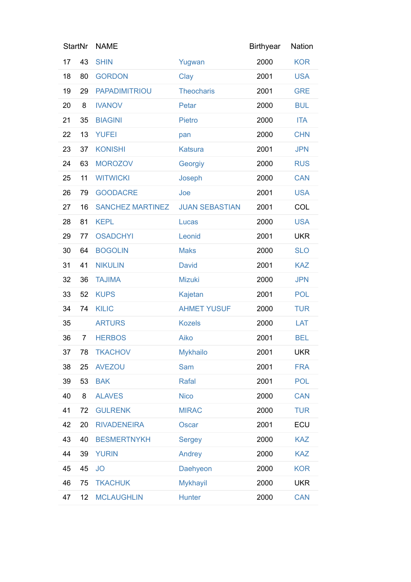| <b>StartNr</b> |                | <b>NAME</b>             |                       | <b>Birthyear</b> | Nation     |
|----------------|----------------|-------------------------|-----------------------|------------------|------------|
| 17             | 43             | <b>SHIN</b>             | Yugwan                | 2000             | <b>KOR</b> |
| 18             | 80             | <b>GORDON</b>           | Clay                  | 2001             | <b>USA</b> |
| 19             | 29             | <b>PAPADIMITRIOU</b>    | <b>Theocharis</b>     | 2001             | <b>GRE</b> |
| 20             | 8              | <b>IVANOV</b>           | Petar                 | 2000             | <b>BUL</b> |
| 21             | 35             | <b>BIAGINI</b>          | <b>Pietro</b>         | 2000             | <b>ITA</b> |
| 22             | 13             | <b>YUFEI</b>            | pan                   | 2000             | <b>CHN</b> |
| 23             | 37             | <b>KONISHI</b>          | <b>Katsura</b>        | 2001             | <b>JPN</b> |
| 24             | 63             | <b>MOROZOV</b>          | Georgiy               | 2000             | <b>RUS</b> |
| 25             | 11             | <b>WITWICKI</b>         | Joseph                | 2000             | <b>CAN</b> |
| 26             | 79             | <b>GOODACRE</b>         | Joe                   | 2001             | <b>USA</b> |
| 27             | 16             | <b>SANCHEZ MARTINEZ</b> | <b>JUAN SEBASTIAN</b> | 2001             | COL        |
| 28             | 81             | <b>KEPL</b>             | Lucas                 | 2000             | <b>USA</b> |
| 29             | 77             | <b>OSADCHYI</b>         | Leonid                | 2001             | <b>UKR</b> |
| 30             | 64             | <b>BOGOLIN</b>          | <b>Maks</b>           | 2000             | <b>SLO</b> |
| 31             | 41             | <b>NIKULIN</b>          | <b>David</b>          | 2001             | <b>KAZ</b> |
| 32             | 36             | <b>TAJIMA</b>           | Mizuki                | 2000             | <b>JPN</b> |
| 33             | 52             | <b>KUPS</b>             | Kajetan               | 2001             | <b>POL</b> |
| 34             | 74             | <b>KILIC</b>            | <b>AHMET YUSUF</b>    | 2000             | <b>TUR</b> |
| 35             |                | <b>ARTURS</b>           | <b>Kozels</b>         | 2000             | LAT        |
| 36             | $\overline{7}$ | <b>HERBOS</b>           | Aiko                  | 2001             | <b>BEL</b> |
| 37             | 78             | <b>TKACHOV</b>          | <b>Mykhailo</b>       | 2001             | <b>UKR</b> |
| 38             | 25             | <b>AVEZOU</b>           | <b>Sam</b>            | 2001             | <b>FRA</b> |
| 39             | 53             | <b>BAK</b>              | Rafal                 | 2001             | <b>POL</b> |
| 40             | 8              | <b>ALAVES</b>           | <b>Nico</b>           | 2000             | <b>CAN</b> |
| 41             | 72             | <b>GULRENK</b>          | <b>MIRAC</b>          | 2000             | <b>TUR</b> |
| 42             | 20             | <b>RIVADENEIRA</b>      | Oscar                 | 2001             | ECU        |
| 43             | 40             | <b>BESMERTNYKH</b>      | <b>Sergey</b>         | 2000             | <b>KAZ</b> |
| 44             | 39             | <b>YURIN</b>            | Andrey                | 2000             | <b>KAZ</b> |
| 45             | 45             | <b>JO</b>               | Daehyeon              | 2000             | <b>KOR</b> |
| 46             | 75             | <b>TKACHUK</b>          | <b>Mykhayil</b>       | 2000             | <b>UKR</b> |
| 47             | 12             | <b>MCLAUGHLIN</b>       | <b>Hunter</b>         | 2000             | <b>CAN</b> |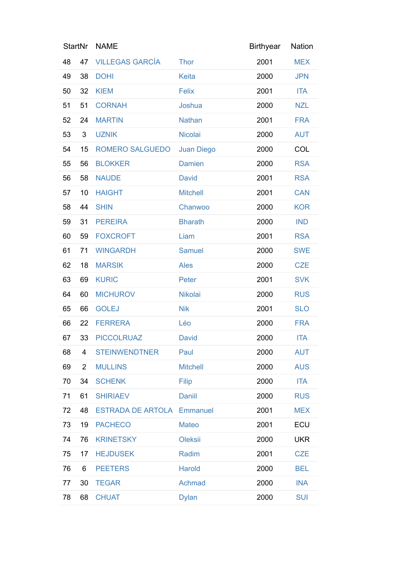| <b>StartNr</b> |                         | <b>NAME</b>                       |                   | <b>Birthyear</b> | Nation     |
|----------------|-------------------------|-----------------------------------|-------------------|------------------|------------|
| 48             | 47                      | <b>VILLEGAS GARCÍA</b>            | <b>Thor</b>       | 2001             | <b>MEX</b> |
| 49             | 38                      | <b>DOHI</b>                       | Keita             | 2000             | <b>JPN</b> |
| 50             | 32                      | <b>KIEM</b>                       | <b>Felix</b>      | 2001             | <b>ITA</b> |
| 51             | 51                      | <b>CORNAH</b>                     | Joshua            | 2000             | <b>NZL</b> |
| 52             | 24                      | <b>MARTIN</b>                     | <b>Nathan</b>     | 2001             | <b>FRA</b> |
| 53             | 3                       | <b>UZNIK</b>                      | Nicolai           | 2000             | <b>AUT</b> |
| 54             | 15                      | <b>ROMERO SALGUEDO</b>            | <b>Juan Diego</b> | 2000             | COL        |
| 55             | 56                      | <b>BLOKKER</b>                    | <b>Damien</b>     | 2000             | <b>RSA</b> |
| 56             | 58                      | <b>NAUDE</b>                      | <b>David</b>      | 2001             | <b>RSA</b> |
| 57             | 10                      | <b>HAIGHT</b>                     | <b>Mitchell</b>   | 2001             | <b>CAN</b> |
| 58             | 44                      | <b>SHIN</b>                       | Chanwoo           | 2000             | <b>KOR</b> |
| 59             | 31                      | <b>PEREIRA</b>                    | <b>Bharath</b>    | 2000             | <b>IND</b> |
| 60             | 59                      | <b>FOXCROFT</b>                   | Liam              | 2001             | <b>RSA</b> |
| 61             | 71                      | <b>WINGARDH</b>                   | <b>Samuel</b>     | 2000             | <b>SWE</b> |
| 62             | 18                      | <b>MARSIK</b>                     | <b>Ales</b>       | 2000             | <b>CZE</b> |
| 63             | 69                      | <b>KURIC</b>                      | Peter             | 2001             | <b>SVK</b> |
| 64             | 60                      | <b>MICHUROV</b>                   | Nikolai           | 2000             | <b>RUS</b> |
| 65             | 66                      | <b>GOLEJ</b>                      | <b>Nik</b>        | 2001             | <b>SLO</b> |
| 66             | 22                      | <b>FERRERA</b>                    | Léo               | 2000             | <b>FRA</b> |
| 67             | 33                      | <b>PICCOLRUAZ</b>                 | <b>David</b>      | 2000             | <b>ITA</b> |
| 68             | $\overline{\mathbf{4}}$ | <b>STEINWENDTNER</b>              | Paul              | 2000             | <b>AUT</b> |
| 69             | $\overline{2}$          | <b>MULLINS</b>                    | <b>Mitchell</b>   | 2000             | <b>AUS</b> |
| 70             | 34                      | <b>SCHENK</b>                     | Filip             | 2000             | <b>ITA</b> |
| 71             | 61                      | <b>SHIRIAEV</b>                   | <b>Daniil</b>     | 2000             | <b>RUS</b> |
| 72             | 48                      | <b>ESTRADA DE ARTOLA Emmanuel</b> |                   | 2001             | <b>MEX</b> |
| 73             | 19                      | <b>PACHECO</b>                    | Mateo             | 2001             | ECU        |
| 74             | 76                      | <b>KRINETSKY</b>                  | Oleksii           | 2000             | <b>UKR</b> |
| 75             | 17                      | <b>HEJDUSEK</b>                   | Radim             | 2001             | <b>CZE</b> |
| 76             | 6                       | <b>PEETERS</b>                    | <b>Harold</b>     | 2000             | <b>BEL</b> |
| 77             | 30                      | <b>TEGAR</b>                      | Achmad            | 2000             | <b>INA</b> |
| 78             | 68                      | <b>CHUAT</b>                      | <b>Dylan</b>      | 2000             | <b>SUI</b> |